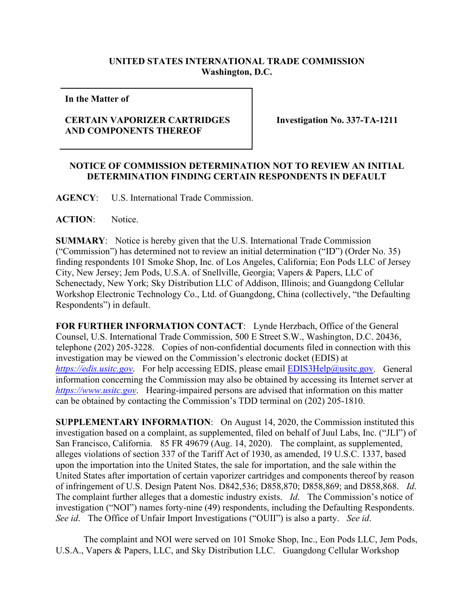## **UNITED STATES INTERNATIONAL TRADE COMMISSION Washington, D.C.**

**In the Matter of** 

## **CERTAIN VAPORIZER CARTRIDGES AND COMPONENTS THEREOF**

**Investigation No. 337-TA-1211**

## **NOTICE OF COMMISSION DETERMINATION NOT TO REVIEW AN INITIAL DETERMINATION FINDING CERTAIN RESPONDENTS IN DEFAULT**

**AGENCY**: U.S. International Trade Commission.

**ACTION**: Notice.

**SUMMARY**: Notice is hereby given that the U.S. International Trade Commission ("Commission") has determined not to review an initial determination ("ID") (Order No. 35) finding respondents 101 Smoke Shop, Inc. of Los Angeles, California; Eon Pods LLC of Jersey City, New Jersey; Jem Pods, U.S.A. of Snellville, Georgia; Vapers & Papers, LLC of Schenectady, New York; Sky Distribution LLC of Addison, Illinois; and Guangdong Cellular Workshop Electronic Technology Co., Ltd. of Guangdong, China (collectively, "the Defaulting Respondents") in default.

**FOR FURTHER INFORMATION CONTACT**: Lynde Herzbach, Office of the General Counsel, U.S. International Trade Commission, 500 E Street S.W., Washington, D.C. 20436, telephone (202) 205-3228. Copies of non-confidential documents filed in connection with this investigation may be viewed on the Commission's electronic docket (EDIS) at *[https://edis.usitc.gov](https://edis.usitc.gov/).* For help accessing EDIS, please email [EDIS3Help@usitc.gov.](mailto:EDIS3Help@usitc.gov) General information concerning the Commission may also be obtained by accessing its Internet server at *[https://www.usitc.gov](https://www.usitc.gov/)*. Hearing-impaired persons are advised that information on this matter can be obtained by contacting the Commission's TDD terminal on (202) 205-1810.

**SUPPLEMENTARY INFORMATION**: On August 14, 2020, the Commission instituted this investigation based on a complaint, as supplemented, filed on behalf of Juul Labs, Inc. ("JLI") of San Francisco, California. 85 FR 49679 (Aug. 14, 2020). The complaint, as supplemented, alleges violations of section 337 of the Tariff Act of 1930, as amended, 19 U.S.C. 1337, based upon the importation into the United States, the sale for importation, and the sale within the United States after importation of certain vaporizer cartridges and components thereof by reason of infringement of U.S. Design Patent Nos. D842,536; D858,870; D858,869; and D858,868. *Id*. The complaint further alleges that a domestic industry exists. *Id*. The Commission's notice of investigation ("NOI") names forty-nine (49) respondents, including the Defaulting Respondents. *See id*. The Office of Unfair Import Investigations ("OUII") is also a party. *See id*.

The complaint and NOI were served on 101 Smoke Shop, Inc., Eon Pods LLC, Jem Pods, U.S.A., Vapers & Papers, LLC, and Sky Distribution LLC. Guangdong Cellular Workshop